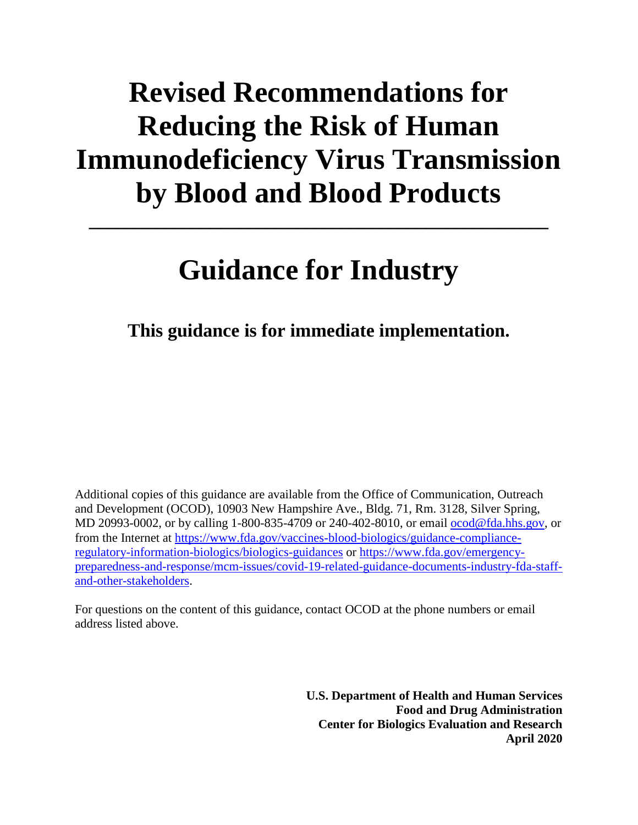# **Revised Recommendations for Reducing the Risk of Human Immunodeficiency Virus Transmission by Blood and Blood Products**

# **Guidance for Industry**

**\_\_\_\_\_\_\_\_\_\_\_\_\_\_\_\_\_\_\_\_\_\_\_\_\_\_\_\_\_\_\_\_\_\_\_\_\_\_\_\_\_\_\_\_\_\_\_\_\_**

**This guidance is for immediate implementation.**

Additional copies of this guidance are available from the Office of Communication, Outreach and Development (OCOD), 10903 New Hampshire Ave., Bldg. 71, Rm. 3128, Silver Spring, MD 20993-0002, or by calling 1-800-835-4709 or 240-402-8010, or email [ocod@fda.hhs.gov,](mailto:ocod@fda.hhs.gov) or from the Internet at [https://www.fda.gov/vaccines-blood-biologics/guidance-compliance](https://www.fda.gov/vaccines-blood-biologics/guidance-compliance-regulatory-information-biologics/biologics-guidances)[regulatory-information-biologics/biologics-guidances](https://www.fda.gov/vaccines-blood-biologics/guidance-compliance-regulatory-information-biologics/biologics-guidances) or [https://www.fda.gov/emergency](https://www.fda.gov/emergency-preparedness-and-response/mcm-issues/covid-19-related-guidance-documents-industry-fda-staff-and-other-stakeholders)[preparedness-and-response/mcm-issues/covid-19-related-guidance-documents-industry-fda-staff](https://www.fda.gov/emergency-preparedness-and-response/mcm-issues/covid-19-related-guidance-documents-industry-fda-staff-and-other-stakeholders)[and-other-stakeholders.](https://www.fda.gov/emergency-preparedness-and-response/mcm-issues/covid-19-related-guidance-documents-industry-fda-staff-and-other-stakeholders)

For questions on the content of this guidance, contact OCOD at the phone numbers or email address listed above.

> **U.S. Department of Health and Human Services Food and Drug Administration Center for Biologics Evaluation and Research April 2020**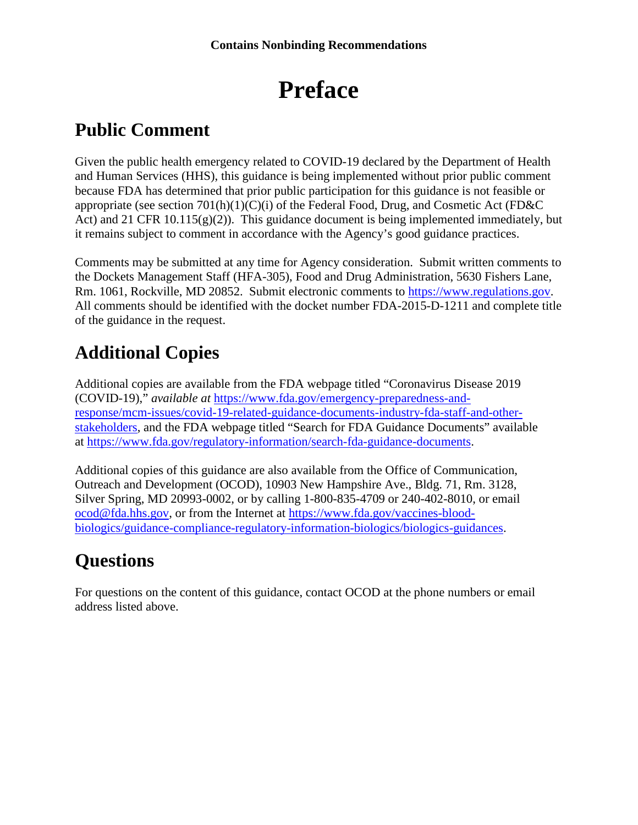# **Preface**

## **Public Comment**

Given the public health emergency related to COVID-19 declared by the Department of Health and Human Services (HHS), this guidance is being implemented without prior public comment because FDA has determined that prior public participation for this guidance is not feasible or appropriate (see section  $701(h)(1)(C)(i)$  of the Federal Food, Drug, and Cosmetic Act (FD&C) Act) and 21 CFR 10.115( $g(2)$ ). This guidance document is being implemented immediately, but it remains subject to comment in accordance with the Agency's good guidance practices.

Comments may be submitted at any time for Agency consideration. Submit written comments to the Dockets Management Staff (HFA-305), Food and Drug Administration, 5630 Fishers Lane, Rm. 1061, Rockville, MD 20852. Submit electronic comments to [https://www.regulations.gov.](https://www.regulations.gov/) All comments should be identified with the docket number FDA-2015-D-1211 and complete title of the guidance in the request.

## **Additional Copies**

Additional copies are available from the FDA webpage titled "Coronavirus Disease 2019 (COVID-19)," *available at* [https://www.fda.gov/emergency-preparedness-and](https://www.fda.gov/emergency-preparedness-and-response/mcm-issues/covid-19-related-guidance-documents-industry-fda-staff-and-other-stakeholders)[response/mcm-issues/covid-19-related-guidance-documents-industry-fda-staff-and-other](https://www.fda.gov/emergency-preparedness-and-response/mcm-issues/covid-19-related-guidance-documents-industry-fda-staff-and-other-stakeholders)[stakeholders,](https://www.fda.gov/emergency-preparedness-and-response/mcm-issues/covid-19-related-guidance-documents-industry-fda-staff-and-other-stakeholders) and the FDA webpage titled "Search for FDA Guidance Documents" available at [https://www.fda.gov/regulatory-information/search-fda-guidance-documents.](https://www.fda.gov/regulatory-information/search-fda-guidance-documents)

Additional copies of this guidance are also available from the Office of Communication, Outreach and Development (OCOD), 10903 New Hampshire Ave., Bldg. 71, Rm. 3128, Silver Spring, MD 20993-0002, or by calling 1-800-835-4709 or 240-402-8010, or email [ocod@fda.hhs.gov,](mailto:ocod@fda.hhs.gov) or from the Internet at [https://www.fda.gov/vaccines-blood](https://www.fda.gov/vaccines-blood-biologics/guidance-compliance-regulatory-information-biologics/biologics-guidances)[biologics/guidance-compliance-regulatory-information-biologics/biologics-guidances.](https://www.fda.gov/vaccines-blood-biologics/guidance-compliance-regulatory-information-biologics/biologics-guidances)

## **Questions**

For questions on the content of this guidance, contact OCOD at the phone numbers or email address listed above.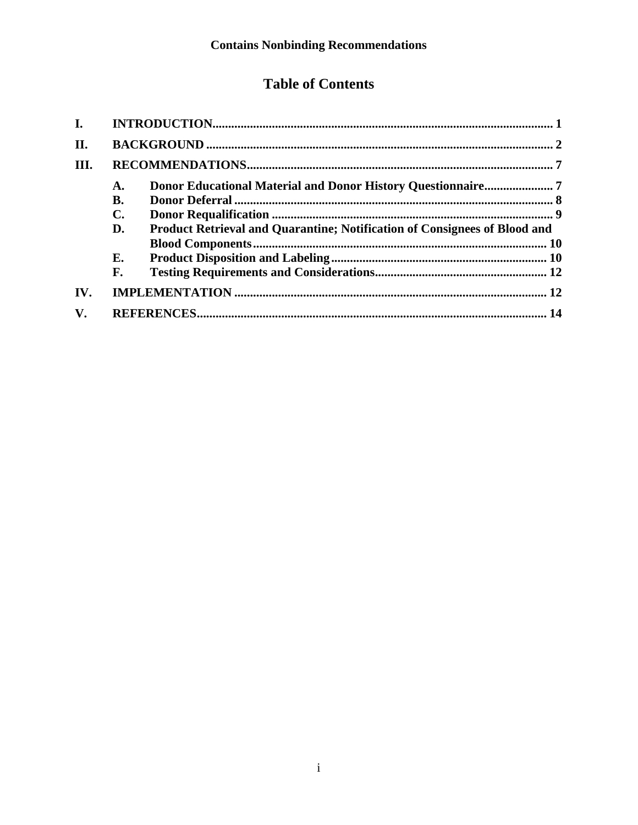### **Table of Contents**

| $\mathbf{I}$ . |           |                                                                                  |  |
|----------------|-----------|----------------------------------------------------------------------------------|--|
| II.            |           |                                                                                  |  |
| III.           |           |                                                                                  |  |
|                | А.        |                                                                                  |  |
|                | <b>B.</b> |                                                                                  |  |
|                | C.        |                                                                                  |  |
|                | D.        | <b>Product Retrieval and Quarantine; Notification of Consignees of Blood and</b> |  |
|                |           |                                                                                  |  |
|                | Е.        |                                                                                  |  |
|                | F.        |                                                                                  |  |
| IV.            |           |                                                                                  |  |
| $\mathbf{V}$ . |           |                                                                                  |  |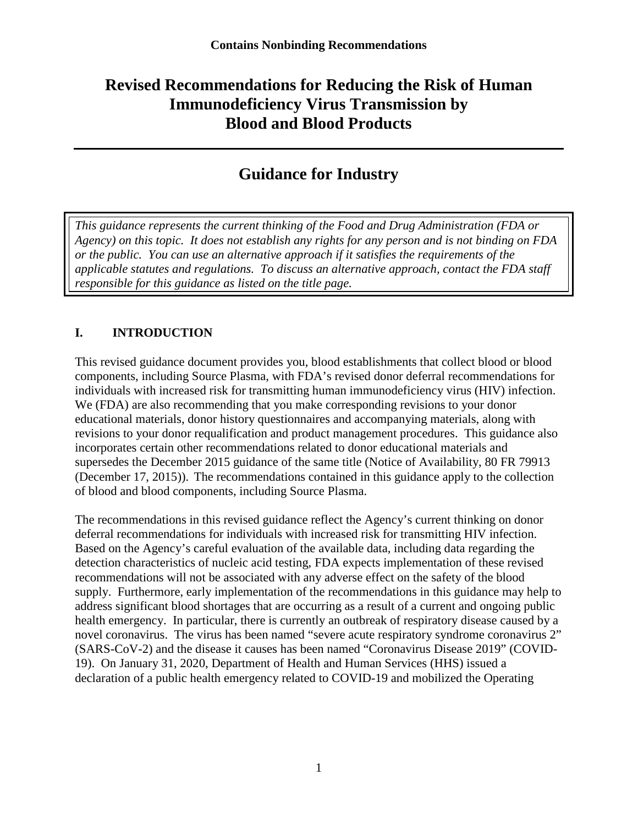### **Revised Recommendations for Reducing the Risk of Human Immunodeficiency Virus Transmission by Blood and Blood Products**

### **Guidance for Industry**

*This guidance represents the current thinking of the Food and Drug Administration (FDA or Agency) on this topic. It does not establish any rights for any person and is not binding on FDA or the public. You can use an alternative approach if it satisfies the requirements of the applicable statutes and regulations. To discuss an alternative approach, contact the FDA staff responsible for this guidance as listed on the title page.*

#### <span id="page-3-0"></span>**I. INTRODUCTION**

This revised guidance document provides you, blood establishments that collect blood or blood components, including Source Plasma, with FDA's revised donor deferral recommendations for individuals with increased risk for transmitting human immunodeficiency virus (HIV) infection. We (FDA) are also recommending that you make corresponding revisions to your donor educational materials, donor history questionnaires and accompanying materials, along with revisions to your donor requalification and product management procedures. This guidance also incorporates certain other recommendations related to donor educational materials and supersedes the December 2015 guidance of the same title (Notice of Availability, 80 FR 79913 (December 17, 2015)). The recommendations contained in this guidance apply to the collection of blood and blood components, including Source Plasma.

The recommendations in this revised guidance reflect the Agency's current thinking on donor deferral recommendations for individuals with increased risk for transmitting HIV infection. Based on the Agency's careful evaluation of the available data, including data regarding the detection characteristics of nucleic acid testing, FDA expects implementation of these revised recommendations will not be associated with any adverse effect on the safety of the blood supply. Furthermore, early implementation of the recommendations in this guidance may help to address significant blood shortages that are occurring as a result of a current and ongoing public health emergency. In particular, there is currently an outbreak of respiratory disease caused by a novel coronavirus. The virus has been named "severe acute respiratory syndrome coronavirus 2" (SARS-CoV-2) and the disease it causes has been named "Coronavirus Disease 2019" (COVID-19). On January 31, 2020, Department of Health and Human Services (HHS) issued a declaration of a public health emergency related to COVID-19 and mobilized the Operating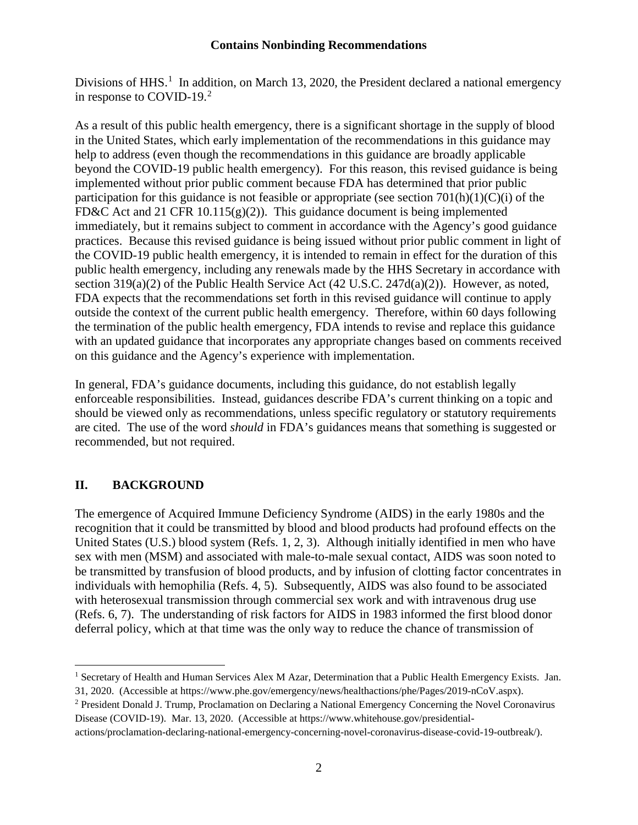Divisions of HHS.<sup>[1](#page-4-1)</sup> In addition, on March 13, 2020, the President declared a national emergency in response to COVID-19.<sup>[2](#page-4-2)</sup>

As a result of this public health emergency, there is a significant shortage in the supply of blood in the United States, which early implementation of the recommendations in this guidance may help to address (even though the recommendations in this guidance are broadly applicable beyond the COVID-19 public health emergency). For this reason, this revised guidance is being implemented without prior public comment because FDA has determined that prior public participation for this guidance is not feasible or appropriate (see section  $701(h)(1)(C)(i)$ ) of the FD&C Act and 21 CFR 10.115(g)(2)). This guidance document is being implemented immediately, but it remains subject to comment in accordance with the Agency's good guidance practices. Because this revised guidance is being issued without prior public comment in light of the COVID-19 public health emergency, it is intended to remain in effect for the duration of this public health emergency, including any renewals made by the HHS Secretary in accordance with section 319(a)(2) of the Public Health Service Act (42 U.S.C. 247d(a)(2)). However, as noted, FDA expects that the recommendations set forth in this revised guidance will continue to apply outside the context of the current public health emergency. Therefore, within 60 days following the termination of the public health emergency, FDA intends to revise and replace this guidance with an updated guidance that incorporates any appropriate changes based on comments received on this guidance and the Agency's experience with implementation.

In general, FDA's guidance documents, including this guidance, do not establish legally enforceable responsibilities. Instead, guidances describe FDA's current thinking on a topic and should be viewed only as recommendations, unless specific regulatory or statutory requirements are cited. The use of the word *should* in FDA's guidances means that something is suggested or recommended, but not required.

#### <span id="page-4-0"></span>**II. BACKGROUND**

 $\overline{a}$ 

The emergence of Acquired Immune Deficiency Syndrome (AIDS) in the early 1980s and the recognition that it could be transmitted by blood and blood products had profound effects on the United States (U.S.) blood system (Refs. 1, 2, 3). Although initially identified in men who have sex with men (MSM) and associated with male-to-male sexual contact, AIDS was soon noted to be transmitted by transfusion of blood products, and by infusion of clotting factor concentrates in individuals with hemophilia (Refs. 4, 5). Subsequently, AIDS was also found to be associated with heterosexual transmission through commercial sex work and with intravenous drug use (Refs. 6, 7). The understanding of risk factors for AIDS in 1983 informed the first blood donor deferral policy, which at that time was the only way to reduce the chance of transmission of

<span id="page-4-1"></span><sup>&</sup>lt;sup>1</sup> Secretary of Health and Human Services Alex M Azar, Determination that a Public Health Emergency Exists. Jan.

<sup>31, 2020. (</sup>Accessible at https://www.phe.gov/emergency/news/healthactions/phe/Pages/2019-nCoV.aspx).

<span id="page-4-2"></span><sup>2</sup> President Donald J. Trump, Proclamation on Declaring a National Emergency Concerning the Novel Coronavirus Disease (COVID-19). Mar. 13, 2020. (Accessible at https://www.whitehouse.gov/presidential-

actions/proclamation-declaring-national-emergency-concerning-novel-coronavirus-disease-covid-19-outbreak/).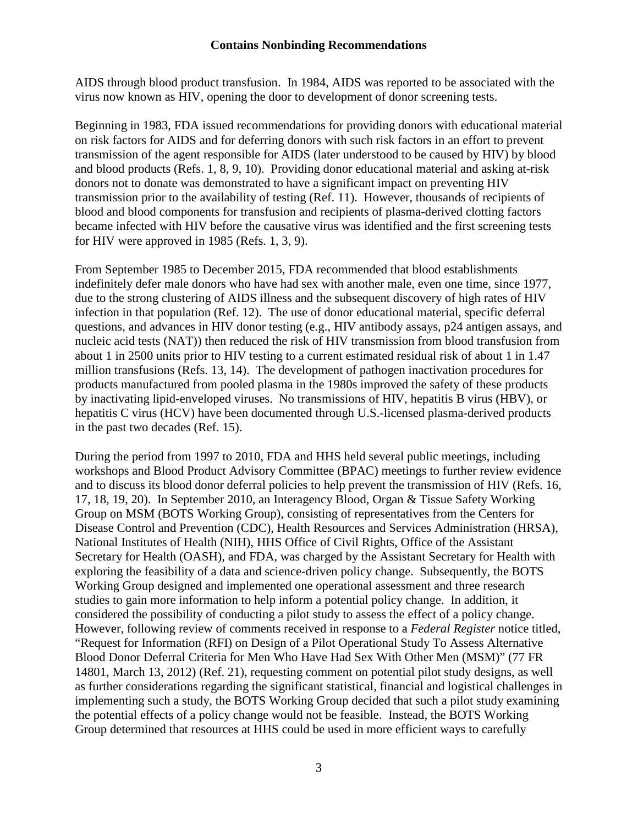AIDS through blood product transfusion. In 1984, AIDS was reported to be associated with the virus now known as HIV, opening the door to development of donor screening tests.

Beginning in 1983, FDA issued recommendations for providing donors with educational material on risk factors for AIDS and for deferring donors with such risk factors in an effort to prevent transmission of the agent responsible for AIDS (later understood to be caused by HIV) by blood and blood products (Refs. 1, 8, 9, 10). Providing donor educational material and asking at-risk donors not to donate was demonstrated to have a significant impact on preventing HIV transmission prior to the availability of testing (Ref. 11). However, thousands of recipients of blood and blood components for transfusion and recipients of plasma-derived clotting factors became infected with HIV before the causative virus was identified and the first screening tests for HIV were approved in 1985 (Refs. 1, 3, 9).

From September 1985 to December 2015, FDA recommended that blood establishments indefinitely defer male donors who have had sex with another male, even one time, since 1977, due to the strong clustering of AIDS illness and the subsequent discovery of high rates of HIV infection in that population (Ref. 12). The use of donor educational material, specific deferral questions, and advances in HIV donor testing (e.g., HIV antibody assays, p24 antigen assays, and nucleic acid tests (NAT)) then reduced the risk of HIV transmission from blood transfusion from about 1 in 2500 units prior to HIV testing to a current estimated residual risk of about 1 in 1.47 million transfusions (Refs. 13, 14). The development of pathogen inactivation procedures for products manufactured from pooled plasma in the 1980s improved the safety of these products by inactivating lipid-enveloped viruses. No transmissions of HIV, hepatitis B virus (HBV), or hepatitis C virus (HCV) have been documented through U.S.-licensed plasma-derived products in the past two decades (Ref. 15).

During the period from 1997 to 2010, FDA and HHS held several public meetings, including workshops and Blood Product Advisory Committee (BPAC) meetings to further review evidence and to discuss its blood donor deferral policies to help prevent the transmission of HIV (Refs. 16, 17, 18, 19, 20). In September 2010, an Interagency Blood, Organ & Tissue Safety Working Group on MSM (BOTS Working Group), consisting of representatives from the Centers for Disease Control and Prevention (CDC), Health Resources and Services Administration (HRSA), National Institutes of Health (NIH), HHS Office of Civil Rights, Office of the Assistant Secretary for Health (OASH), and FDA, was charged by the Assistant Secretary for Health with exploring the feasibility of a data and science-driven policy change. Subsequently, the BOTS Working Group designed and implemented one operational assessment and three research studies to gain more information to help inform a potential policy change. In addition, it considered the possibility of conducting a pilot study to assess the effect of a policy change. However, following review of comments received in response to a *Federal Register* notice titled, "Request for Information (RFI) on Design of a Pilot Operational Study To Assess Alternative Blood Donor Deferral Criteria for Men Who Have Had Sex With Other Men (MSM)" (77 FR 14801, March 13, 2012) (Ref. 21), requesting comment on potential pilot study designs, as well as further considerations regarding the significant statistical, financial and logistical challenges in implementing such a study, the BOTS Working Group decided that such a pilot study examining the potential effects of a policy change would not be feasible. Instead, the BOTS Working Group determined that resources at HHS could be used in more efficient ways to carefully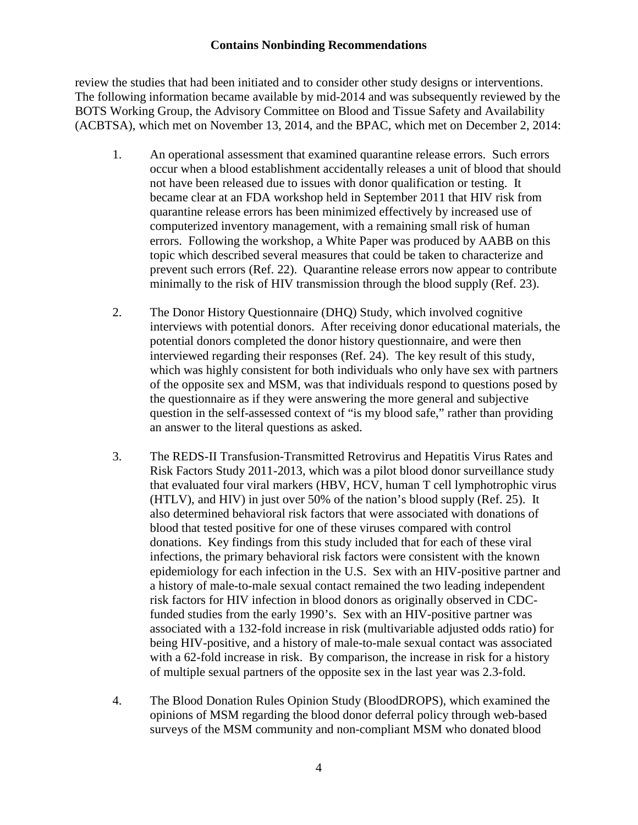review the studies that had been initiated and to consider other study designs or interventions. The following information became available by mid-2014 and was subsequently reviewed by the BOTS Working Group, the Advisory Committee on Blood and Tissue Safety and Availability (ACBTSA), which met on November 13, 2014, and the BPAC, which met on December 2, 2014:

- 1. An operational assessment that examined quarantine release errors. Such errors occur when a blood establishment accidentally releases a unit of blood that should not have been released due to issues with donor qualification or testing. It became clear at an FDA workshop held in September 2011 that HIV risk from quarantine release errors has been minimized effectively by increased use of computerized inventory management, with a remaining small risk of human errors. Following the workshop, a White Paper was produced by AABB on this topic which described several measures that could be taken to characterize and prevent such errors (Ref. 22). Quarantine release errors now appear to contribute minimally to the risk of HIV transmission through the blood supply (Ref. 23).
- 2. The Donor History Questionnaire (DHQ) Study, which involved cognitive interviews with potential donors. After receiving donor educational materials, the potential donors completed the donor history questionnaire, and were then interviewed regarding their responses (Ref. 24). The key result of this study, which was highly consistent for both individuals who only have sex with partners of the opposite sex and MSM, was that individuals respond to questions posed by the questionnaire as if they were answering the more general and subjective question in the self-assessed context of "is my blood safe," rather than providing an answer to the literal questions as asked.
- 3. The REDS-II Transfusion-Transmitted Retrovirus and Hepatitis Virus Rates and Risk Factors Study 2011-2013, which was a pilot blood donor surveillance study that evaluated four viral markers (HBV, HCV, human T cell lymphotrophic virus (HTLV), and HIV) in just over 50% of the nation's blood supply (Ref. 25). It also determined behavioral risk factors that were associated with donations of blood that tested positive for one of these viruses compared with control donations. Key findings from this study included that for each of these viral infections, the primary behavioral risk factors were consistent with the known epidemiology for each infection in the U.S. Sex with an HIV-positive partner and a history of male-to-male sexual contact remained the two leading independent risk factors for HIV infection in blood donors as originally observed in CDCfunded studies from the early 1990's. Sex with an HIV-positive partner was associated with a 132-fold increase in risk (multivariable adjusted odds ratio) for being HIV-positive, and a history of male-to-male sexual contact was associated with a 62-fold increase in risk. By comparison, the increase in risk for a history of multiple sexual partners of the opposite sex in the last year was 2.3-fold.
- 4. The Blood Donation Rules Opinion Study (BloodDROPS), which examined the opinions of MSM regarding the blood donor deferral policy through web-based surveys of the MSM community and non-compliant MSM who donated blood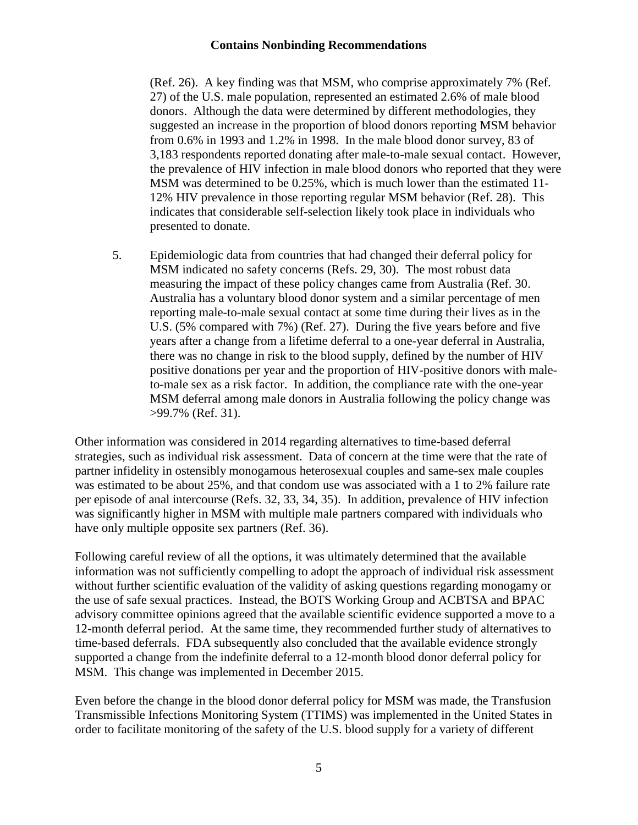(Ref. 26). A key finding was that MSM, who comprise approximately 7% (Ref. 27) of the U.S. male population, represented an estimated 2.6% of male blood donors. Although the data were determined by different methodologies, they suggested an increase in the proportion of blood donors reporting MSM behavior from 0.6% in 1993 and 1.2% in 1998. In the male blood donor survey, 83 of 3,183 respondents reported donating after male-to-male sexual contact. However, the prevalence of HIV infection in male blood donors who reported that they were MSM was determined to be 0.25%, which is much lower than the estimated 11- 12% HIV prevalence in those reporting regular MSM behavior (Ref. 28). This indicates that considerable self-selection likely took place in individuals who presented to donate.

5. Epidemiologic data from countries that had changed their deferral policy for MSM indicated no safety concerns (Refs. 29, 30). The most robust data measuring the impact of these policy changes came from Australia (Ref. 30. Australia has a voluntary blood donor system and a similar percentage of men reporting male-to-male sexual contact at some time during their lives as in the U.S. (5% compared with 7%) (Ref. 27). During the five years before and five years after a change from a lifetime deferral to a one-year deferral in Australia, there was no change in risk to the blood supply, defined by the number of HIV positive donations per year and the proportion of HIV-positive donors with maleto-male sex as a risk factor. In addition, the compliance rate with the one-year MSM deferral among male donors in Australia following the policy change was >99.7% (Ref. 31).

Other information was considered in 2014 regarding alternatives to time-based deferral strategies, such as individual risk assessment. Data of concern at the time were that the rate of partner infidelity in ostensibly monogamous heterosexual couples and same-sex male couples was estimated to be about 25%, and that condom use was associated with a 1 to 2% failure rate per episode of anal intercourse (Refs. 32, 33, 34, 35). In addition, prevalence of HIV infection was significantly higher in MSM with multiple male partners compared with individuals who have only multiple opposite sex partners (Ref. 36).

Following careful review of all the options, it was ultimately determined that the available information was not sufficiently compelling to adopt the approach of individual risk assessment without further scientific evaluation of the validity of asking questions regarding monogamy or the use of safe sexual practices. Instead, the BOTS Working Group and ACBTSA and BPAC advisory committee opinions agreed that the available scientific evidence supported a move to a 12-month deferral period. At the same time, they recommended further study of alternatives to time-based deferrals. FDA subsequently also concluded that the available evidence strongly supported a change from the indefinite deferral to a 12-month blood donor deferral policy for MSM. This change was implemented in December 2015.

Even before the change in the blood donor deferral policy for MSM was made, the Transfusion Transmissible Infections Monitoring System (TTIMS) was implemented in the United States in order to facilitate monitoring of the safety of the U.S. blood supply for a variety of different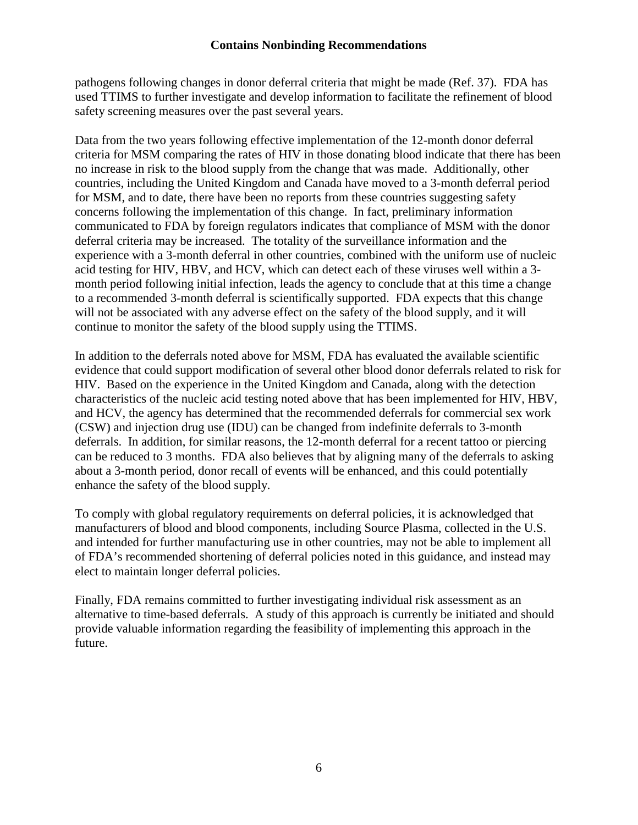pathogens following changes in donor deferral criteria that might be made (Ref. 37). FDA has used TTIMS to further investigate and develop information to facilitate the refinement of blood safety screening measures over the past several years.

Data from the two years following effective implementation of the 12-month donor deferral criteria for MSM comparing the rates of HIV in those donating blood indicate that there has been no increase in risk to the blood supply from the change that was made. Additionally, other countries, including the United Kingdom and Canada have moved to a 3-month deferral period for MSM, and to date, there have been no reports from these countries suggesting safety concerns following the implementation of this change. In fact, preliminary information communicated to FDA by foreign regulators indicates that compliance of MSM with the donor deferral criteria may be increased. The totality of the surveillance information and the experience with a 3-month deferral in other countries, combined with the uniform use of nucleic acid testing for HIV, HBV, and HCV, which can detect each of these viruses well within a 3 month period following initial infection, leads the agency to conclude that at this time a change to a recommended 3-month deferral is scientifically supported. FDA expects that this change will not be associated with any adverse effect on the safety of the blood supply, and it will continue to monitor the safety of the blood supply using the TTIMS.

In addition to the deferrals noted above for MSM, FDA has evaluated the available scientific evidence that could support modification of several other blood donor deferrals related to risk for HIV. Based on the experience in the United Kingdom and Canada, along with the detection characteristics of the nucleic acid testing noted above that has been implemented for HIV, HBV, and HCV, the agency has determined that the recommended deferrals for commercial sex work (CSW) and injection drug use (IDU) can be changed from indefinite deferrals to 3-month deferrals. In addition, for similar reasons, the 12-month deferral for a recent tattoo or piercing can be reduced to 3 months. FDA also believes that by aligning many of the deferrals to asking about a 3-month period, donor recall of events will be enhanced, and this could potentially enhance the safety of the blood supply.

To comply with global regulatory requirements on deferral policies, it is acknowledged that manufacturers of blood and blood components, including Source Plasma, collected in the U.S. and intended for further manufacturing use in other countries, may not be able to implement all of FDA's recommended shortening of deferral policies noted in this guidance, and instead may elect to maintain longer deferral policies.

Finally, FDA remains committed to further investigating individual risk assessment as an alternative to time-based deferrals. A study of this approach is currently be initiated and should provide valuable information regarding the feasibility of implementing this approach in the future.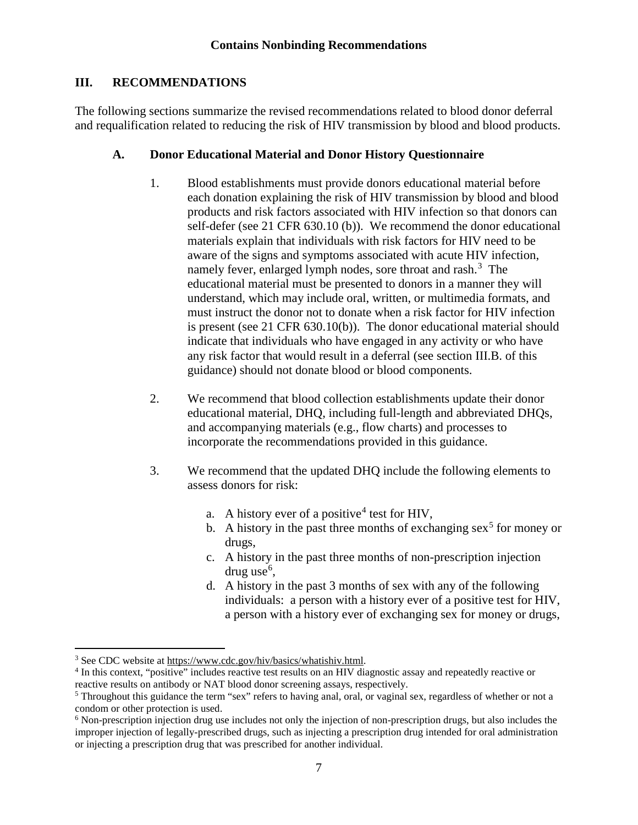#### <span id="page-9-0"></span>**III. RECOMMENDATIONS**

The following sections summarize the revised recommendations related to blood donor deferral and requalification related to reducing the risk of HIV transmission by blood and blood products.

#### <span id="page-9-1"></span>**A. Donor Educational Material and Donor History Questionnaire**

- 1. Blood establishments must provide donors educational material before each donation explaining the risk of HIV transmission by blood and blood products and risk factors associated with HIV infection so that donors can self-defer (see 21 CFR 630.10 (b)). We recommend the donor educational materials explain that individuals with risk factors for HIV need to be aware of the signs and symptoms associated with acute HIV infection, namely fever, enlarged lymph nodes, sore throat and rash.<sup>[3](#page-9-2)</sup> The educational material must be presented to donors in a manner they will understand, which may include oral, written, or multimedia formats, and must instruct the donor not to donate when a risk factor for HIV infection is present (see 21 CFR 630.10(b)). The donor educational material should indicate that individuals who have engaged in any activity or who have any risk factor that would result in a deferral (see section III.B. of this guidance) should not donate blood or blood components.
- 2. We recommend that blood collection establishments update their donor educational material, DHQ, including full-length and abbreviated DHQs, and accompanying materials (e.g., flow charts) and processes to incorporate the recommendations provided in this guidance.
- 3. We recommend that the updated DHQ include the following elements to assess donors for risk:
	- a. A history ever of a positive<sup>[4](#page-9-3)</sup> test for HIV,
	- b. A history in the past three months of exchanging sex<sup>[5](#page-9-4)</sup> for money or drugs,
	- c. A history in the past three months of non-prescription injection drug use<sup>[6](#page-9-5)</sup>,
	- d. A history in the past 3 months of sex with any of the following individuals: a person with a history ever of a positive test for HIV, a person with a history ever of exchanging sex for money or drugs,

l

<span id="page-9-2"></span><sup>3</sup> See CDC website at [https://www.cdc.gov/hiv/basics/whatishiv.html.](https://www.cdc.gov/hiv/basics/whatishiv.html)

<span id="page-9-3"></span><sup>4</sup> In this context, "positive" includes reactive test results on an HIV diagnostic assay and repeatedly reactive or reactive results on antibody or NAT blood donor screening assays, respectively.

<span id="page-9-4"></span><sup>&</sup>lt;sup>5</sup> Throughout this guidance the term "sex" refers to having anal, oral, or vaginal sex, regardless of whether or not a condom or other protection is used.

<span id="page-9-5"></span><sup>6</sup> Non-prescription injection drug use includes not only the injection of non-prescription drugs, but also includes the improper injection of legally-prescribed drugs, such as injecting a prescription drug intended for oral administration or injecting a prescription drug that was prescribed for another individual.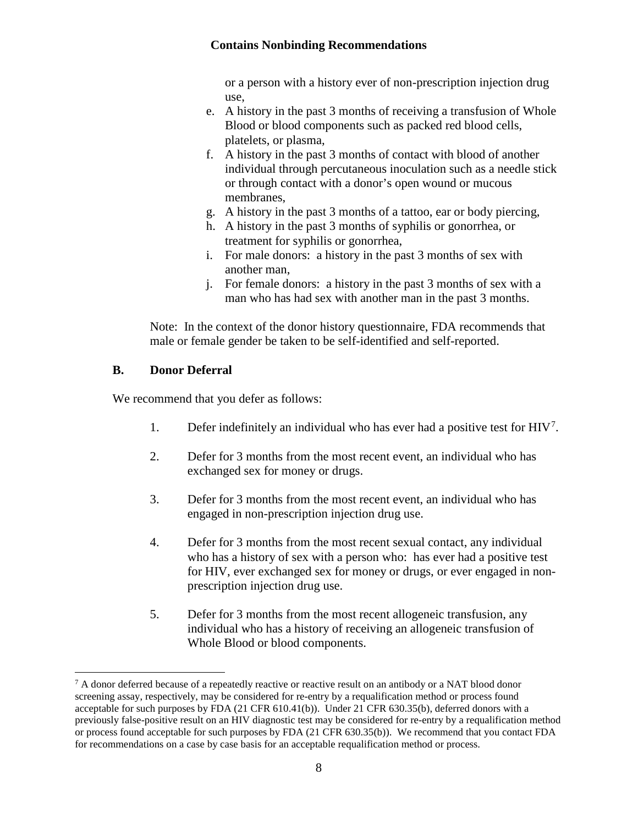or a person with a history ever of non-prescription injection drug use,

- e. A history in the past 3 months of receiving a transfusion of Whole Blood or blood components such as packed red blood cells, platelets, or plasma,
- f. A history in the past 3 months of contact with blood of another individual through percutaneous inoculation such as a needle stick or through contact with a donor's open wound or mucous membranes,
- g. A history in the past 3 months of a tattoo, ear or body piercing,
- h. A history in the past 3 months of syphilis or gonorrhea, or treatment for syphilis or gonorrhea,
- i. For male donors: a history in the past 3 months of sex with another man,
- j. For female donors: a history in the past 3 months of sex with a man who has had sex with another man in the past 3 months.

Note: In the context of the donor history questionnaire, FDA recommends that male or female gender be taken to be self-identified and self-reported.

#### <span id="page-10-0"></span>**B. Donor Deferral**

 $\overline{a}$ 

We recommend that you defer as follows:

- 1. Defer indefinitely an individual who has ever had a positive test for HIV<sup>[7](#page-10-1)</sup>.
- 2. Defer for 3 months from the most recent event, an individual who has exchanged sex for money or drugs.
- 3. Defer for 3 months from the most recent event, an individual who has engaged in non-prescription injection drug use.
- 4. Defer for 3 months from the most recent sexual contact, any individual who has a history of sex with a person who: has ever had a positive test for HIV, ever exchanged sex for money or drugs, or ever engaged in nonprescription injection drug use.
- 5. Defer for 3 months from the most recent allogeneic transfusion, any individual who has a history of receiving an allogeneic transfusion of Whole Blood or blood components.

<span id="page-10-1"></span> $^7$  A donor deferred because of a repeatedly reactive or reactive result on an antibody or a NAT blood donor screening assay, respectively, may be considered for re-entry by a requalification method or process found acceptable for such purposes by FDA (21 CFR 610.41(b)). Under 21 CFR 630.35(b), deferred donors with a previously false-positive result on an HIV diagnostic test may be considered for re-entry by a requalification method or process found acceptable for such purposes by FDA (21 CFR 630.35(b)). We recommend that you contact FDA for recommendations on a case by case basis for an acceptable requalification method or process.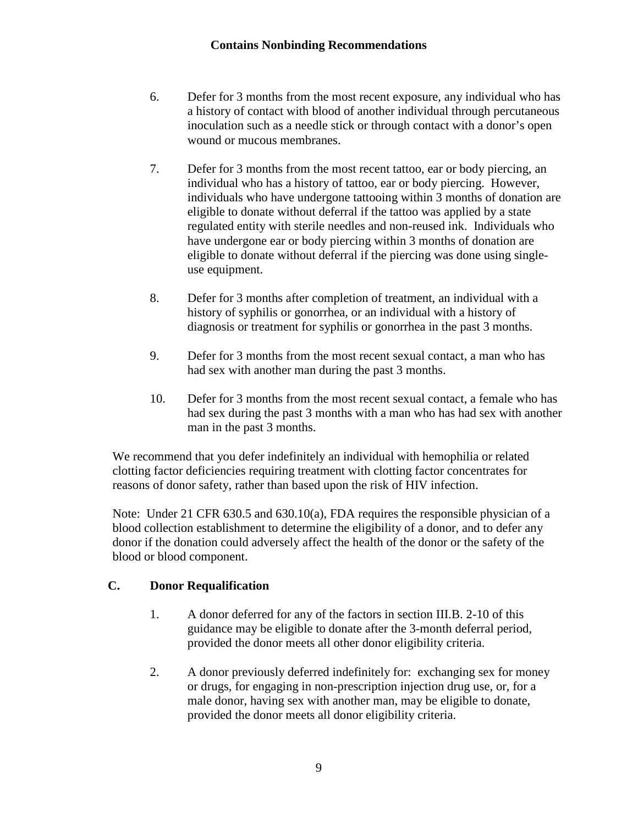- 6. Defer for 3 months from the most recent exposure, any individual who has a history of contact with blood of another individual through percutaneous inoculation such as a needle stick or through contact with a donor's open wound or mucous membranes.
- 7. Defer for 3 months from the most recent tattoo, ear or body piercing, an individual who has a history of tattoo, ear or body piercing. However, individuals who have undergone tattooing within 3 months of donation are eligible to donate without deferral if the tattoo was applied by a state regulated entity with sterile needles and non-reused ink. Individuals who have undergone ear or body piercing within 3 months of donation are eligible to donate without deferral if the piercing was done using singleuse equipment.
- 8. Defer for 3 months after completion of treatment, an individual with a history of syphilis or gonorrhea, or an individual with a history of diagnosis or treatment for syphilis or gonorrhea in the past 3 months.
- 9. Defer for 3 months from the most recent sexual contact, a man who has had sex with another man during the past 3 months.
- 10. Defer for 3 months from the most recent sexual contact, a female who has had sex during the past 3 months with a man who has had sex with another man in the past 3 months.

We recommend that you defer indefinitely an individual with hemophilia or related clotting factor deficiencies requiring treatment with clotting factor concentrates for reasons of donor safety, rather than based upon the risk of HIV infection.

Note: Under 21 CFR 630.5 and 630.10(a), FDA requires the responsible physician of a blood collection establishment to determine the eligibility of a donor, and to defer any donor if the donation could adversely affect the health of the donor or the safety of the blood or blood component.

#### <span id="page-11-0"></span>**C. Donor Requalification**

- 1. A donor deferred for any of the factors in section III.B. 2-10 of this guidance may be eligible to donate after the 3-month deferral period, provided the donor meets all other donor eligibility criteria.
- 2. A donor previously deferred indefinitely for: exchanging sex for money or drugs, for engaging in non-prescription injection drug use, or, for a male donor, having sex with another man, may be eligible to donate, provided the donor meets all donor eligibility criteria.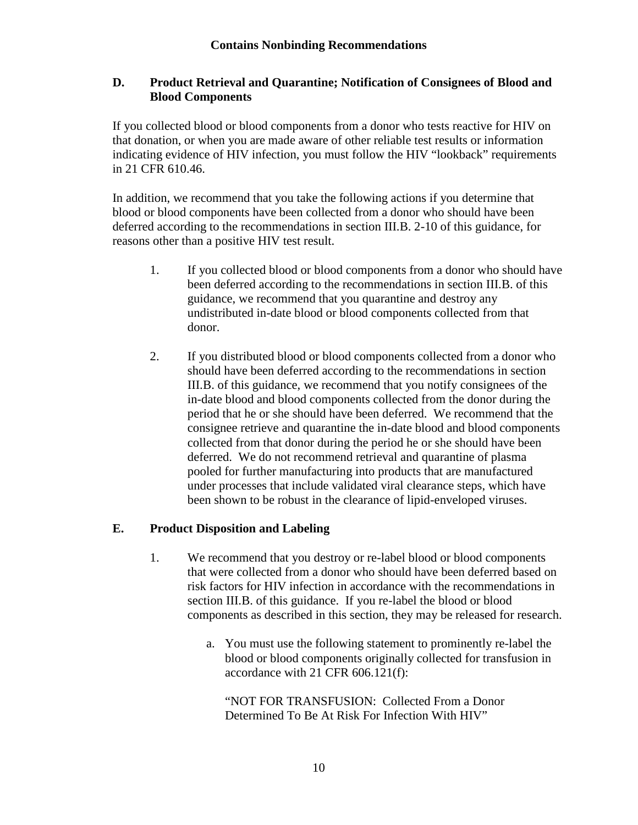#### <span id="page-12-0"></span>**D. Product Retrieval and Quarantine; Notification of Consignees of Blood and Blood Components**

If you collected blood or blood components from a donor who tests reactive for HIV on that donation, or when you are made aware of other reliable test results or information indicating evidence of HIV infection, you must follow the HIV "lookback" requirements in 21 CFR 610.46.

In addition, we recommend that you take the following actions if you determine that blood or blood components have been collected from a donor who should have been deferred according to the recommendations in section III.B. 2-10 of this guidance, for reasons other than a positive HIV test result.

- 1. If you collected blood or blood components from a donor who should have been deferred according to the recommendations in section III.B. of this guidance, we recommend that you quarantine and destroy any undistributed in-date blood or blood components collected from that donor.
- 2. If you distributed blood or blood components collected from a donor who should have been deferred according to the recommendations in section III.B. of this guidance, we recommend that you notify consignees of the in-date blood and blood components collected from the donor during the period that he or she should have been deferred. We recommend that the consignee retrieve and quarantine the in-date blood and blood components collected from that donor during the period he or she should have been deferred. We do not recommend retrieval and quarantine of plasma pooled for further manufacturing into products that are manufactured under processes that include validated viral clearance steps, which have been shown to be robust in the clearance of lipid-enveloped viruses.

#### <span id="page-12-1"></span>**E. Product Disposition and Labeling**

- 1. We recommend that you destroy or re-label blood or blood components that were collected from a donor who should have been deferred based on risk factors for HIV infection in accordance with the recommendations in section III.B. of this guidance. If you re-label the blood or blood components as described in this section, they may be released for research.
	- a. You must use the following statement to prominently re-label the blood or blood components originally collected for transfusion in accordance with 21 CFR 606.121(f):

"NOT FOR TRANSFUSION: Collected From a Donor Determined To Be At Risk For Infection With HIV"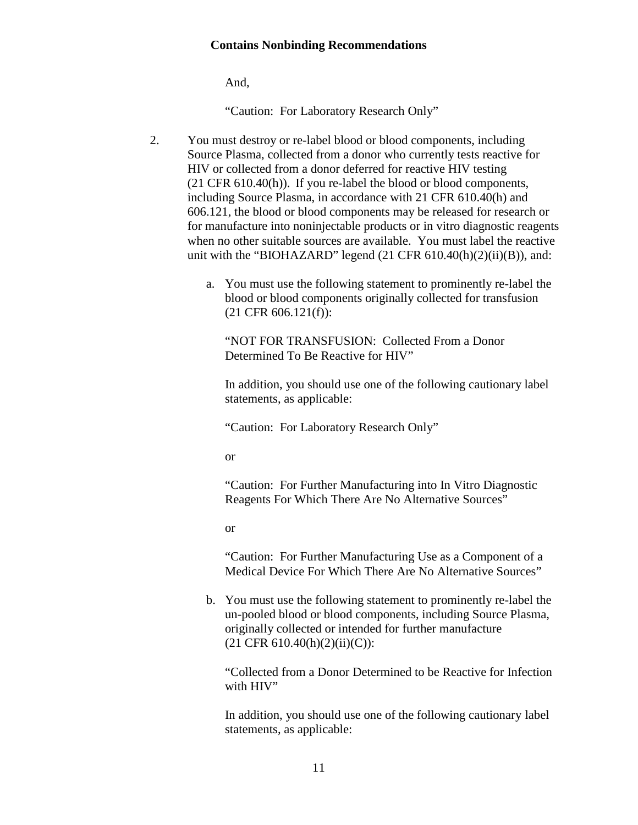And,

"Caution: For Laboratory Research Only"

- 2. You must destroy or re-label blood or blood components, including Source Plasma, collected from a donor who currently tests reactive for HIV or collected from a donor deferred for reactive HIV testing (21 CFR 610.40(h)). If you re-label the blood or blood components, including Source Plasma, in accordance with 21 CFR 610.40(h) and 606.121, the blood or blood components may be released for research or for manufacture into noninjectable products or in vitro diagnostic reagents when no other suitable sources are available. You must label the reactive unit with the "BIOHAZARD" legend  $(21 \text{ CFR } 610.40 \text{ (h)}(2) \text{ (ii)}(B))$ , and:
	- a. You must use the following statement to prominently re-label the blood or blood components originally collected for transfusion (21 CFR 606.121(f)):

"NOT FOR TRANSFUSION: Collected From a Donor Determined To Be Reactive for HIV"

In addition, you should use one of the following cautionary label statements, as applicable:

"Caution: For Laboratory Research Only"

or

"Caution: For Further Manufacturing into In Vitro Diagnostic Reagents For Which There Are No Alternative Sources"

or

"Caution: For Further Manufacturing Use as a Component of a Medical Device For Which There Are No Alternative Sources"

b. You must use the following statement to prominently re-label the un-pooled blood or blood components, including Source Plasma, originally collected or intended for further manufacture  $(21 \text{ CFR } 610.40 \text{ (h)} (2) \text{ (ii)} \text{ (C)})$ :

"Collected from a Donor Determined to be Reactive for Infection with HIV"

In addition, you should use one of the following cautionary label statements, as applicable: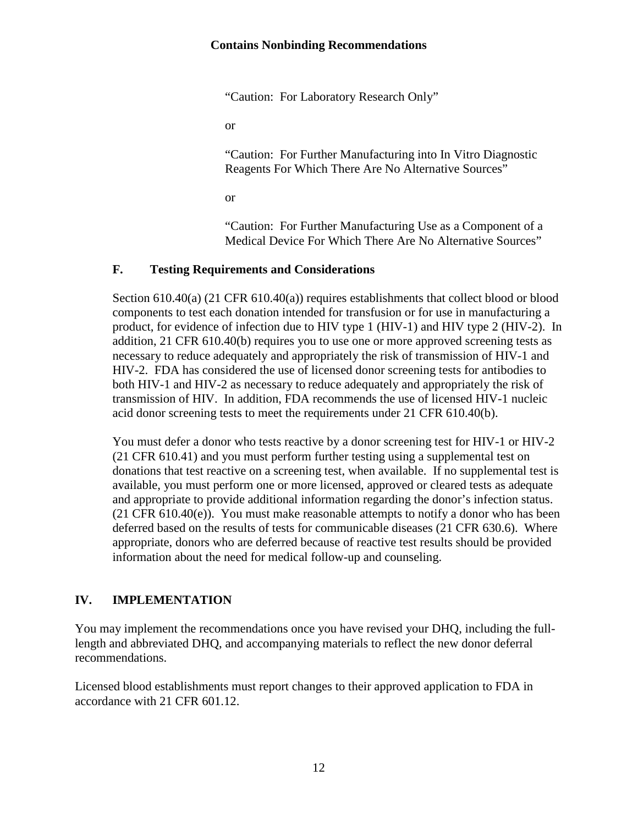"Caution: For Laboratory Research Only"

or

"Caution: For Further Manufacturing into In Vitro Diagnostic Reagents For Which There Are No Alternative Sources"

or

"Caution: For Further Manufacturing Use as a Component of a Medical Device For Which There Are No Alternative Sources"

#### <span id="page-14-0"></span>**F. Testing Requirements and Considerations**

Section 610.40(a) (21 CFR 610.40(a)) requires establishments that collect blood or blood components to test each donation intended for transfusion or for use in manufacturing a product, for evidence of infection due to HIV type 1 (HIV-1) and HIV type 2 (HIV-2). In addition, 21 CFR 610.40(b) requires you to use one or more approved screening tests as necessary to reduce adequately and appropriately the risk of transmission of HIV-1 and HIV-2. FDA has considered the use of licensed donor screening tests for antibodies to both HIV-1 and HIV-2 as necessary to reduce adequately and appropriately the risk of transmission of HIV. In addition, FDA recommends the use of licensed HIV-1 nucleic acid donor screening tests to meet the requirements under 21 CFR 610.40(b).

You must defer a donor who tests reactive by a donor screening test for HIV-1 or HIV-2 (21 CFR 610.41) and you must perform further testing using a supplemental test on donations that test reactive on a screening test, when available. If no supplemental test is available, you must perform one or more licensed, approved or cleared tests as adequate and appropriate to provide additional information regarding the donor's infection status. (21 CFR 610.40(e)). You must make reasonable attempts to notify a donor who has been deferred based on the results of tests for communicable diseases (21 CFR 630.6). Where appropriate, donors who are deferred because of reactive test results should be provided information about the need for medical follow-up and counseling.

#### <span id="page-14-1"></span>**IV. IMPLEMENTATION**

You may implement the recommendations once you have revised your DHQ, including the fulllength and abbreviated DHQ, and accompanying materials to reflect the new donor deferral recommendations.

Licensed blood establishments must report changes to their approved application to FDA in accordance with 21 CFR 601.12.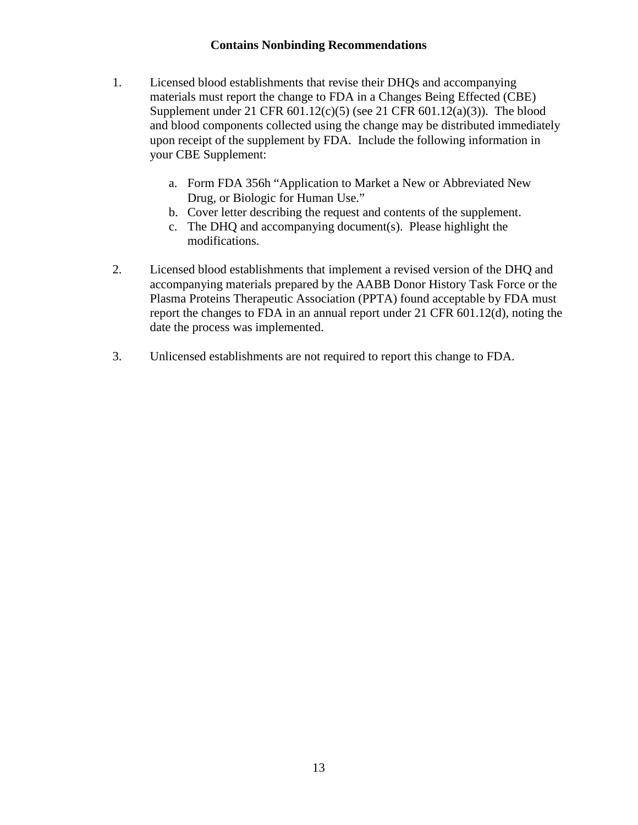- 1. Licensed blood establishments that revise their DHQs and accompanying materials must report the change to FDA in a Changes Being Effected (CBE) Supplement under 21 CFR 601.12(c)(5) (see 21 CFR 601.12(a)(3)). The blood and blood components collected using the change may be distributed immediately upon receipt of the supplement by FDA. Include the following information in your CBE Supplement:
	- a. Form FDA 356h "Application to Market a New or Abbreviated New Drug, or Biologic for Human Use."
	- b. Cover letter describing the request and contents of the supplement.
	- c. The DHQ and accompanying document(s). Please highlight the modifications.
- 2. Licensed blood establishments that implement a revised version of the DHQ and accompanying materials prepared by the AABB Donor History Task Force or the Plasma Proteins Therapeutic Association (PPTA) found acceptable by FDA must report the changes to FDA in an annual report under 21 CFR 601.12(d), noting the date the process was implemented.
- 3. Unlicensed establishments are not required to report this change to FDA.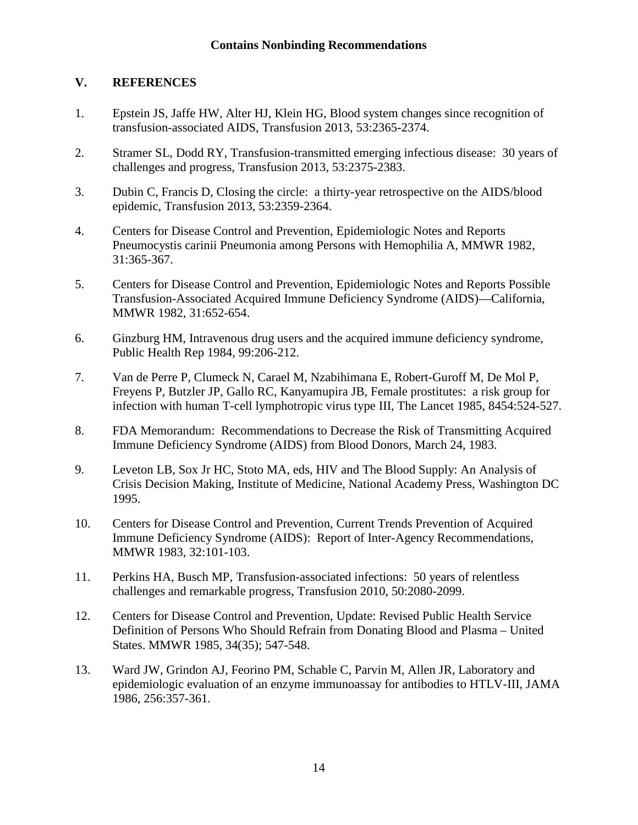#### <span id="page-16-0"></span>**V. REFERENCES**

- 1. Epstein JS, Jaffe HW, Alter HJ, Klein HG, [Blood system changes since recognition of](http://web.b.ebscohost.com/ehost/viewarticle?data=dGJyMPPp44rp2%2fdV0%2bnjisfk5Ie46bZQt6i2SLak63nn5Kx95uXxjL6nr0evrq1KrqeyOLCwsUm4qrA4zsOkjPDX7Ivf2fKB7eTnfLujslC3prVMsKiwPurX7H%2b72%2bw%2b4ti7ebfepIzf3btZzJzfhruvr0q2prBQs5zkh%2fDj34y73POE6urjkPIA&hid=115)  [transfusion-associated AIDS, Transfusion](http://web.b.ebscohost.com/ehost/viewarticle?data=dGJyMPPp44rp2%2fdV0%2bnjisfk5Ie46bZQt6i2SLak63nn5Kx95uXxjL6nr0evrq1KrqeyOLCwsUm4qrA4zsOkjPDX7Ivf2fKB7eTnfLujslC3prVMsKiwPurX7H%2b72%2bw%2b4ti7ebfepIzf3btZzJzfhruvr0q2prBQs5zkh%2fDj34y73POE6urjkPIA&hid=115) 2013, 53:2365-2374.
- 2. Stramer SL, Dodd RY, Transfusion-transmitted emerging infectious disease: 30 years of challenges and progress, Transfusion 2013, 53:2375-2383.
- 3. Dubin C, Francis D, Closing the circle: a thirty-year retrospective on the AIDS/blood epidemic, Transfusion 2013, 53:2359-2364.
- 4. Centers for Disease Control and Prevention, Epidemiologic Notes and Reports Pneumocystis carinii Pneumonia among Persons with Hemophilia A, MMWR 1982, 31:365-367.
- 5. Centers for Disease Control and Prevention, Epidemiologic Notes and Reports Possible Transfusion-Associated Acquired Immune Deficiency Syndrome (AIDS)—California, MMWR 1982, 31:652-654.
- 6. Ginzburg HM, Intravenous drug users and the acquired immune deficiency syndrome, Public Health Rep 1984, 99:206-212.
- 7. Van de Perre P, Clumeck N, Carael M, Nzabihimana E, Robert-Guroff M, De Mol P, Freyens P, Butzler JP, Gallo RC, Kanyamupira JB, Female prostitutes: a risk group for infection with human T-cell lymphotropic virus type III, The Lancet 1985, 8454:524-527.
- 8. FDA Memorandum: Recommendations to Decrease the Risk of Transmitting Acquired Immune Deficiency Syndrome (AIDS) from Blood Donors, March 24, 1983.
- 9. Leveton LB, Sox Jr HC, Stoto MA, eds, HIV and The Blood Supply: An Analysis of Crisis Decision Making, Institute of Medicine, National Academy Press, Washington DC 1995.
- 10. Centers for Disease Control and Prevention, Current Trends Prevention of Acquired Immune Deficiency Syndrome (AIDS): Report of Inter-Agency Recommendations, MMWR 1983, 32:101-103.
- 11. Perkins HA, Busch MP, Transfusion-associated infections: 50 years of relentless challenges and remarkable progress, Transfusion 2010, 50:2080-2099.
- 12. Centers for Disease Control and Prevention, Update: Revised Public Health Service Definition of Persons Who Should Refrain from Donating Blood and Plasma – United States. MMWR 1985, 34(35); 547-548.
- 13. Ward JW, Grindon AJ, Feorino PM, Schable C, Parvin M, Allen JR, Laboratory and epidemiologic evaluation of an enzyme immunoassay for antibodies to HTLV-III, JAMA 1986, 256:357-361.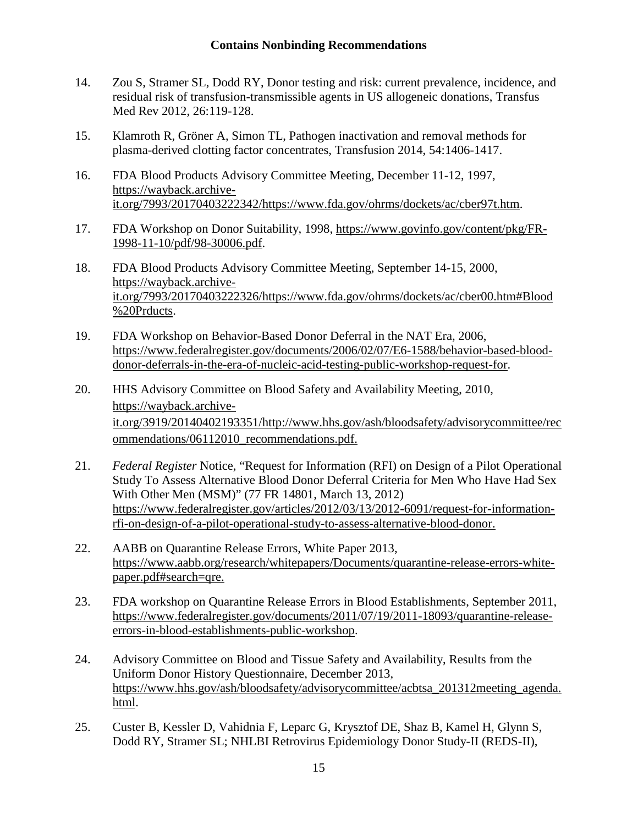- 14. Zou S, Stramer SL, Dodd RY, Donor testing and risk: current prevalence, incidence, and residual risk of transfusion-transmissible agents in US allogeneic donations, Transfus Med Rev 2012, 26:119-128.
- 15. Klamroth R, Gröner A, Simon TL, Pathogen inactivation and removal methods for plasma-derived clotting factor concentrates, Transfusion 2014, 54:1406-1417.
- 16. FDA Blood Products Advisory Committee Meeting, December 11-12, 1997, [https://wayback.archive](https://wayback.archive-it.org/7993/20170403222342/https:/www.fda.gov/ohrms/dockets/ac/cber97t.htm)[it.org/7993/20170403222342/https://www.fda.gov/ohrms/dockets/ac/cber97t.htm.](https://wayback.archive-it.org/7993/20170403222342/https:/www.fda.gov/ohrms/dockets/ac/cber97t.htm)
- 17. FDA Workshop on Donor Suitability, 1998, [https://www.govinfo.gov/content/pkg/FR-](https://www.govinfo.gov/content/pkg/FR-1998-11-10/pdf/98-30006.pdf)[1998-11-10/pdf/98-30006.pdf.](https://www.govinfo.gov/content/pkg/FR-1998-11-10/pdf/98-30006.pdf)
- 18. FDA Blood Products Advisory Committee Meeting, September 14-15, 2000, [https://wayback.archive](https://wayback.archive-it.org/7993/20170403222326/https:/www.fda.gov/ohrms/dockets/ac/cber00.htm%23Blood%20Prducts)[it.org/7993/20170403222326/https://www.fda.gov/ohrms/dockets/ac/cber00.htm#Blood](https://wayback.archive-it.org/7993/20170403222326/https:/www.fda.gov/ohrms/dockets/ac/cber00.htm%23Blood%20Prducts) [%20Prducts.](https://wayback.archive-it.org/7993/20170403222326/https:/www.fda.gov/ohrms/dockets/ac/cber00.htm%23Blood%20Prducts)
- 19. FDA Workshop on Behavior-Based Donor Deferral in the NAT Era, 2006, [https://www.federalregister.gov/documents/2006/02/07/E6-1588/behavior-based-blood](https://www.federalregister.gov/documents/2006/02/07/E6-1588/behavior-based-blood-donor-deferrals-in-the-era-of-nucleic-acid-testing-public-workshop-request-for)[donor-deferrals-in-the-era-of-nucleic-acid-testing-public-workshop-request-for.](https://www.federalregister.gov/documents/2006/02/07/E6-1588/behavior-based-blood-donor-deferrals-in-the-era-of-nucleic-acid-testing-public-workshop-request-for)
- 20. HHS Advisory Committee on Blood Safety and Availability Meeting, 2010, [https://wayback.archive](https://wayback.archive-it.org/3919/20140402193351/http:/www.hhs.gov/ash/bloodsafety/advisorycommittee/recommendations/06112010_recommendations.pdf)[it.org/3919/20140402193351/http://www.hhs.gov/ash/bloodsafety/advisorycommittee/rec](https://wayback.archive-it.org/3919/20140402193351/http:/www.hhs.gov/ash/bloodsafety/advisorycommittee/recommendations/06112010_recommendations.pdf) [ommendations/06112010\\_recommendations.pdf.](https://wayback.archive-it.org/3919/20140402193351/http:/www.hhs.gov/ash/bloodsafety/advisorycommittee/recommendations/06112010_recommendations.pdf)
- 21. *Federal Register* Notice, "Request for Information (RFI) on Design of a Pilot Operational Study To Assess Alternative Blood Donor Deferral Criteria for Men Who Have Had Sex With Other Men (MSM)" (77 FR 14801, March 13, 2012) [https://www.federalregister.gov/articles/2012/03/13/2012-6091/request-for-information](https://www.federalregister.gov/articles/2012/03/13/2012-6091/request-for-information-rfi-on-design-of-a-pilot-operational-study-to-assess-alternative-blood-donor)[rfi-on-design-of-a-pilot-operational-study-to-assess-alternative-blood-donor.](https://www.federalregister.gov/articles/2012/03/13/2012-6091/request-for-information-rfi-on-design-of-a-pilot-operational-study-to-assess-alternative-blood-donor)
- 22. AABB on Quarantine Release Errors, White Paper 2013, [https://www.aabb.org/research/whitepapers/Documents/quarantine-release-errors-white](https://www.aabb.org/research/whitepapers/Documents/quarantine-release-errors-white-paper.pdf#search=qre)[paper.pdf#search=qre.](https://www.aabb.org/research/whitepapers/Documents/quarantine-release-errors-white-paper.pdf#search=qre)
- 23. FDA workshop on Quarantine Release Errors in Blood Establishments, September 2011, [https://www.federalregister.gov/documents/2011/07/19/2011-18093/quarantine-release](https://www.federalregister.gov/documents/2011/07/19/2011-18093/quarantine-release-errors-in-blood-establishments-public-workshop)[errors-in-blood-establishments-public-workshop.](https://www.federalregister.gov/documents/2011/07/19/2011-18093/quarantine-release-errors-in-blood-establishments-public-workshop)
- 24. Advisory Committee on Blood and Tissue Safety and Availability, Results from the Uniform Donor History Questionnaire, December 2013, [https://www.hhs.gov/ash/bloodsafety/advisorycommittee/acbtsa\\_201312meeting\\_agenda.](https://www.hhs.gov/ash/bloodsafety/advisorycommittee/acbtsa_201312meeting_agenda.html) [html.](https://www.hhs.gov/ash/bloodsafety/advisorycommittee/acbtsa_201312meeting_agenda.html)
- 25. Custer B, Kessler D, Vahidnia F, Leparc G, Krysztof DE, Shaz B, Kamel H, Glynn S, Dodd RY, Stramer SL; NHLBI Retrovirus Epidemiology Donor Study-II (REDS-II),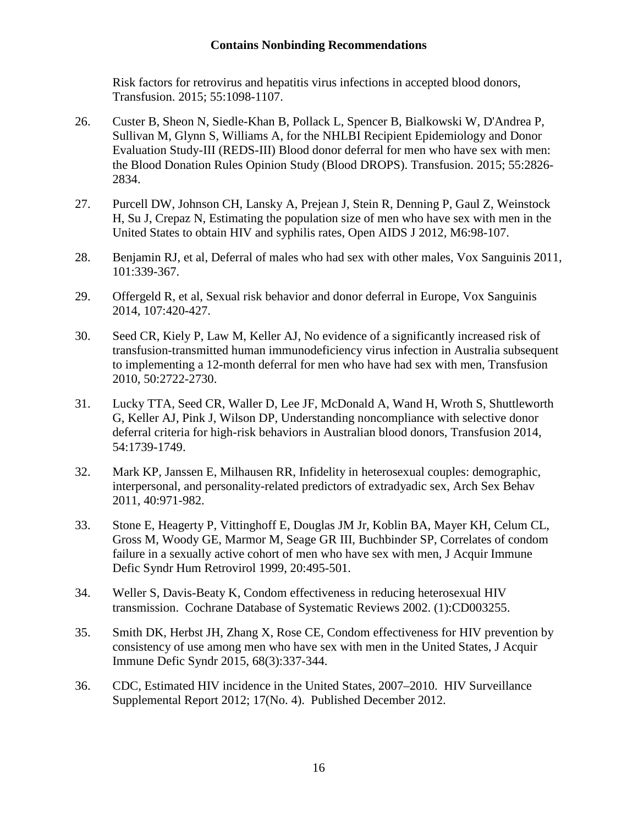Risk factors for retrovirus and hepatitis virus infections in accepted blood donors, Transfusion. 2015; 55:1098-1107.

- 26. Custer B, Sheon N, Siedle-Khan B, Pollack L, Spencer B, Bialkowski W, D'Andrea P, Sullivan M, Glynn S, Williams A, for the NHLBI Recipient Epidemiology and Donor Evaluation Study-III (REDS-III) Blood donor deferral for men who have sex with men: the Blood Donation Rules Opinion Study (Blood DROPS). Transfusion. 2015; 55:2826- 2834.
- 27. Purcell DW, Johnson CH, Lansky A, Prejean J, Stein R, Denning P, Gaul Z, Weinstock H, Su J, Crepaz N, Estimating the population size of men who have sex with men in the United States to obtain HIV and syphilis rates, Open AIDS J 2012, M6:98-107.
- 28. Benjamin RJ, et al, Deferral of males who had sex with other males, Vox Sanguinis 2011, 101:339-367.
- 29. Offergeld R, et al, Sexual risk behavior and donor deferral in Europe, Vox Sanguinis 2014, 107:420-427.
- 30. Seed CR, Kiely P, Law M, Keller AJ, No evidence of a significantly increased risk of transfusion-transmitted human immunodeficiency virus infection in Australia subsequent to implementing a 12-month deferral for men who have had sex with men, Transfusion 2010, 50:2722-2730.
- 31. Lucky TTA, Seed CR, Waller D, Lee JF, McDonald A, Wand H, Wroth S, Shuttleworth G, Keller AJ, Pink J, Wilson DP, Understanding noncompliance with selective donor deferral criteria for high-risk behaviors in Australian blood donors, Transfusion 2014, 54:1739-1749.
- 32. Mark KP, Janssen E, Milhausen RR, Infidelity in heterosexual couples: demographic, interpersonal, and personality-related predictors of extradyadic sex, Arch Sex Behav 2011, 40:971-982.
- 33. Stone E, Heagerty P, Vittinghoff E, Douglas JM Jr, Koblin BA, Mayer KH, Celum CL, Gross M, Woody GE, Marmor M, Seage GR III, Buchbinder SP, Correlates of condom failure in a sexually active cohort of men who have sex with men, J Acquir Immune Defic Syndr Hum Retrovirol 1999, 20:495-501.
- 34. Weller S, Davis-Beaty K, Condom effectiveness in reducing heterosexual HIV transmission. Cochrane Database of Systematic Reviews 2002. (1):CD003255.
- 35. Smith DK, Herbst JH, Zhang X, Rose CE, Condom effectiveness for HIV prevention by consistency of use among men who have sex with men in the United States, J Acquir Immune Defic Syndr 2015, 68(3):337-344.
- 36. CDC, Estimated HIV incidence in the United States, 2007–2010. HIV Surveillance Supplemental Report 2012; 17(No. 4). Published December 2012.